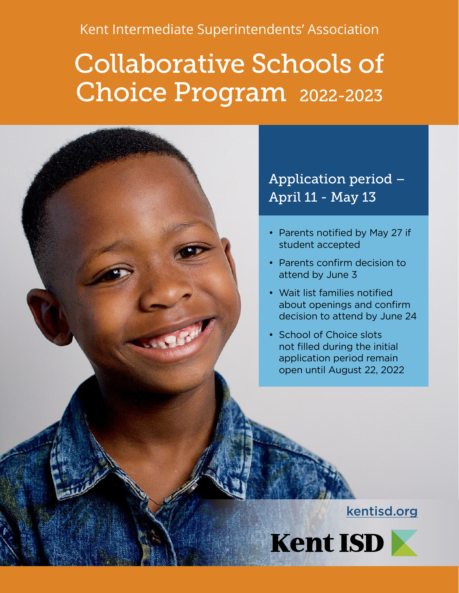Kent Intermediate Superintendents' Association

# Collaborative Schools of Choice Program 2022-2023



- Parents notified by May 27 if student accepted
- Parents confirm decision to attend by June 3
- Wait list families notified about openings and confirm decision to attend by June 24
- School of Choice slots not filled during the initial application period remain open until August 22, 2022

#### [kentisd.org](http://kentisd.org/)

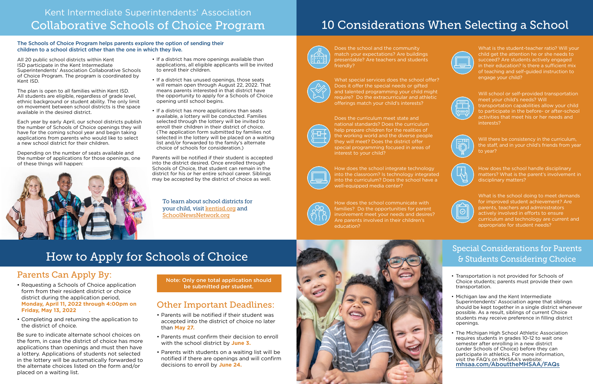To learn about school districts for your child, visit [kentisd.org](http://kentisd.org/) and [SchoolNewsNetwork.org](https://www.schoolnewsnetwork.org/)

#### Parents Can Apply By:

- Requesting a Schools of Choice application form from their resident district or choice district during the application period, **Monday, April 11, 2022 through 4:00pm on Friday, May 13, 2022 .**
- Completing and returning the application to the district of choice.

Be sure to indicate alternate school choices on the form, in case the district of choice has more applications than openings and must then have a lottery. Applications of students not selected in the lottery will be automatically forwarded to the alternate choices listed on the form and/or placed on a waiting list.

## How to Apply for Schools of Choice

### Other Important Deadlines:

- Parents will be notified if their student was accepted into the district of choice no later than **May 27.**
- Parents must confirm their decision to enroll with the school district by **June 3.**
- Parents with students on a waiting list will be notified if there are openings and will confirm decisions to enroll by **June 24.**

All 20 public school districts within Kent ISD participate in the Kent Intermediate Superintendents' Association Collaborative Schools of Choice Program. The program is coordinated by Kent ISD.

The plan is open to all families within Kent ISD. All students are eligible, regardless of grade level, ethnic background or student ability. The only limit on movement between school districts is the space available in the desired district.

Each year by early April, our school districts publish the number of Schools of Choice openings they will have for the coming school year and begin taking applications from parents who would like to select a new school district for their children.

Depending on the number of seats available and the number of applications for those openings, one of these things will happen:



- If a district has more openings available than applications, all eligible applicants will be invited to enroll their children.
- If a district has unused openings, those seats will remain open through August 22, 2022. That means parents interested in that district have the opportunity to apply for a Schools of Choice opening until school begins.
- If a district has more applications than seats available, a lottery will be conducted. Families selected through the lottery will be invited to enroll their children in their district of choice. (The application form submitted by families not selected in the lottery will be placed on a waiting list and/or forwarded to the family's alternate choice of schools for consideration.)

Parents will be notified if their student is accepted into the district desired. Once enrolled through Schools of Choice, that student can remain in the district for his or her entire school career. Siblings may be accepted by the district of choice as well.

#### The Schools of Choice Program helps parents explore the option of sending their children to a school district other than the one in which they live.

### Kent Intermediate Superintendents' Association Collaborative Schools of Choice Program

Note: Only one total application should be submitted per student.

- Transportation is not provided for Schools of Choice students; parents must provide their own transportation.
- Michigan law and the Kent Intermediate Superintendents' Association agree that siblings should be kept together in a single district whenever possible. As a result, siblings of current Choice students may receive preference in filling district openings.
- The Michigan High School Athletic Association requires students in grades 10-12 to wait one semester after enrolling in a new district (under Schools of Choice) before they can participate in athletics. For more information, visit the FAQ's on MHSAA's website: [mhsaa.com/AbouttheMHSAA/FAQs](https://www.mhsaa.com/About-the-MHSAA/FAQs)

## 10 Considerations When Selecting a School



Does the school and the community match your expectations? Are buildings presentable? Are teachers and students friendly?



What is the student-teacher ratio? Will your child get the attention he or she needs to succeed? Are students actively engaged in their education? Is there a sufficient mix of teaching and self-guided instruction to engage your child?



### Special Considerations for Parents & Students Considering Choice

What special services does the school offer? Does it offer the special needs or gifted and talented programming your child might require? Do the extracurricular and athletic offerings match your child's interests?



Does the curriculum meet state and national standards? Does the curriculum help prepare children for the realities of the working world and the diverse people they will meet? Does the district offer special programming focused in areas of interest to your child?



How does the school integrate technology into the classroom? Is technology integrated into the curriculum? Does the school have a well-equipped media center?



How does the school communicate with families? Do the opportunities for parent involvement meet your needs and desires? Are parents involved in their children's education?





Will school or self-provided transportation meet your child's needs? Will transportation capabilities allow your child to participate in the before- or after-school activities that meet his or her needs and interests?



Will there be consistency in the curriculum, the staff, and in your child's friends from year to year?



How does the school handle disciplinary matters? What is the parent's involvement in disciplinary matters?



What is the school doing to meet demands for improved student achievement? Are parents, teachers and administrators actively involved in efforts to ensure curriculum and technology are current and appropriate for student needs?